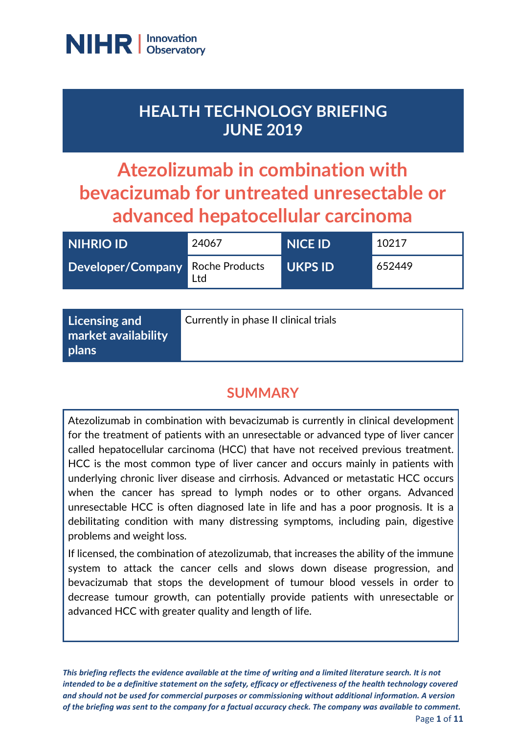

## **HEALTH TECHNOLOGY BRIEFING JUNE 2019**

# **Atezolizumab in combination with bevacizumab for untreated unresectable or advanced hepatocellular carcinoma**

| <b>NIHRIO ID</b>                 | 24067 | <b>NICE ID</b> | 10217  |
|----------------------------------|-------|----------------|--------|
| Developer/Company Roche Products | Ltd   | <b>UKPS ID</b> | 652449 |

| $\vert$ Licensing and<br>market availability<br>  plans | Currently in phase II clinical trials |
|---------------------------------------------------------|---------------------------------------|
|                                                         |                                       |

## **SUMMARY**

Atezolizumab in combination with bevacizumab is currently in clinical development for the treatment of patients with an unresectable or advanced type of liver cancer called hepatocellular carcinoma (HCC) that have not received previous treatment. HCC is the most common type of liver cancer and occurs mainly in patients with underlying chronic liver disease and cirrhosis. Advanced or metastatic HCC occurs when the cancer has spread to lymph nodes or to other organs. Advanced unresectable HCC is often diagnosed late in life and has a poor prognosis. It is a debilitating condition with many distressing symptoms, including pain, digestive problems and weight loss.

If licensed, the combination of atezolizumab, that increases the ability of the immune system to attack the cancer cells and slows down disease progression, and bevacizumab that stops the development of tumour blood vessels in order to decrease tumour growth, can potentially provide patients with unresectable or advanced HCC with greater quality and length of life.

*This briefing reflects the evidence available at the time of writing and a limited literature search. It is not intended to be a definitive statement on the safety, efficacy or effectiveness of the health technology covered and should not be used for commercial purposes or commissioning without additional information. A version of the briefing was sent to the company for a factual accuracy check. The company was available to comment.* Page **1** of **11**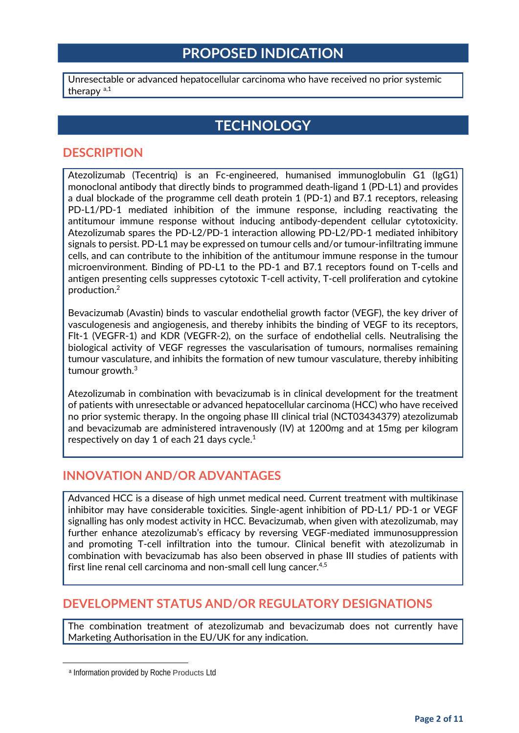### **PROPOSED INDICATION**

Unresectable or advanced hepatocellular carcinoma who have received no prior systemic ther[a](#page-1-0)py  $a,1$ 

## **TECHNOLOGY**

#### **DESCRIPTION**

Atezolizumab (Tecentriq) is an Fc-engineered, humanised immunoglobulin G1 (IgG1) monoclonal antibody that directly binds to programmed death-ligand 1 (PD-L1) and provides a dual blockade of the programme cell death protein 1 (PD-1) and B7.1 receptors, releasing PD-L1/PD-1 mediated inhibition of the immune response, including reactivating the antitumour immune response without inducing antibody-dependent cellular cytotoxicity. Atezolizumab spares the PD-L2/PD-1 interaction allowing PD-L2/PD-1 mediated inhibitory signals to persist. PD-L1 may be expressed on tumour cells and/or tumour-infiltrating immune cells, and can contribute to the inhibition of the antitumour immune response in the tumour microenvironment. Binding of PD-L1 to the PD-1 and B7.1 receptors found on T-cells and antigen presenting cells suppresses cytotoxic T-cell activity, T-cell proliferation and cytokine production.2

Bevacizumab (Avastin) binds to vascular endothelial growth factor (VEGF), the key driver of vasculogenesis and angiogenesis, and thereby inhibits the binding of VEGF to its receptors, Flt-1 (VEGFR-1) and KDR (VEGFR-2), on the surface of endothelial cells. Neutralising the biological activity of VEGF regresses the vascularisation of tumours, normalises remaining tumour vasculature, and inhibits the formation of new tumour vasculature, thereby inhibiting tumour growth.3

Atezolizumab in combination with bevacizumab is in clinical development for the treatment of patients with unresectable or advanced hepatocellular carcinoma (HCC) who have received no prior systemic therapy. In the ongoing phase III clinical trial (NCT03434379) atezolizumab and bevacizumab are administered intravenously (IV) at 1200mg and at 15mg per kilogram respectively on day 1 of each 21 days cycle.1

#### **INNOVATION AND/OR ADVANTAGES**

Advanced HCC is a disease of high unmet medical need. Current treatment with multikinase inhibitor may have considerable toxicities. Single-agent inhibition of PD-L1/ PD-1 or VEGF signalling has only modest activity in HCC. Bevacizumab, when given with atezolizumab, may further enhance atezolizumab's efficacy by reversing VEGF-mediated immunosuppression and promoting T-cell infiltration into the tumour. Clinical benefit with atezolizumab in combination with bevacizumab has also been observed in phase III studies of patients with first line renal cell carcinoma and non-small cell lung cancer.<sup>4,5</sup>

#### **DEVELOPMENT STATUS AND/OR REGULATORY DESIGNATIONS**

The combination treatment of atezolizumab and bevacizumab does not currently have Marketing Authorisation in the EU/UK for any indication.

<span id="page-1-0"></span> $\overline{a}$ 

<sup>a</sup> Information provided by Roche Products Ltd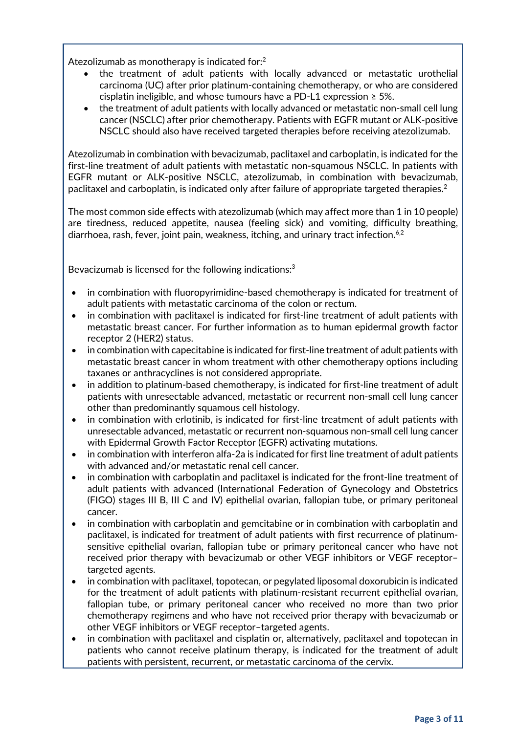Atezolizumab as monotherapy is indicated for:2

- the treatment of adult patients with locally advanced or metastatic urothelial carcinoma (UC) after prior platinum-containing chemotherapy, or who are considered cisplatin ineligible, and whose tumours have a PD-L1 expression  $\geq$  5%.
- the treatment of adult patients with locally advanced or metastatic non-small cell lung cancer (NSCLC) after prior chemotherapy. Patients with EGFR mutant or ALK-positive NSCLC should also have received targeted therapies before receiving atezolizumab.

Atezolizumab in combination with bevacizumab, paclitaxel and carboplatin, is indicated for the first-line treatment of adult patients with metastatic non-squamous NSCLC. In patients with EGFR mutant or ALK-positive NSCLC, atezolizumab, in combination with bevacizumab, paclitaxel and carboplatin, is indicated only after failure of appropriate targeted therapies.2

The most common side effects with atezolizumab (which may affect more than 1 in 10 people) are tiredness, reduced appetite, nausea (feeling sick) and vomiting, difficulty breathing, diarrhoea, rash, fever, joint pain, weakness, itching, and urinary tract infection.<sup>6,2</sup>

Bevacizumab is licensed for the following indications:<sup>3</sup>

- in combination with fluoropyrimidine-based chemotherapy is indicated for treatment of adult patients with metastatic carcinoma of the colon or rectum.
- in combination with paclitaxel is indicated for first-line treatment of adult patients with metastatic breast cancer. For further information as to human epidermal growth factor receptor 2 (HER2) status.
- in combination with capecitabine is indicated for first-line treatment of adult patients with metastatic breast cancer in whom treatment with other chemotherapy options including taxanes or anthracyclines is not considered appropriate.
- in addition to platinum-based chemotherapy, is indicated for first-line treatment of adult patients with unresectable advanced, metastatic or recurrent non-small cell lung cancer other than predominantly squamous cell histology.
- in combination with erlotinib, is indicated for first-line treatment of adult patients with unresectable advanced, metastatic or recurrent non-squamous non-small cell lung cancer with Epidermal Growth Factor Receptor (EGFR) activating mutations.
- in combination with interferon alfa-2a is indicated for first line treatment of adult patients with advanced and/or metastatic renal cell cancer.
- in combination with carboplatin and paclitaxel is indicated for the front-line treatment of adult patients with advanced (International Federation of Gynecology and Obstetrics (FIGO) stages III B, III C and IV) epithelial ovarian, fallopian tube, or primary peritoneal cancer.
- in combination with carboplatin and gemcitabine or in combination with carboplatin and paclitaxel, is indicated for treatment of adult patients with first recurrence of platinumsensitive epithelial ovarian, fallopian tube or primary peritoneal cancer who have not received prior therapy with bevacizumab or other VEGF inhibitors or VEGF receptor– targeted agents.
- in combination with paclitaxel, topotecan, or pegylated liposomal doxorubicin is indicated for the treatment of adult patients with platinum-resistant recurrent epithelial ovarian, fallopian tube, or primary peritoneal cancer who received no more than two prior chemotherapy regimens and who have not received prior therapy with bevacizumab or other VEGF inhibitors or VEGF receptor–targeted agents.
- in combination with paclitaxel and cisplatin or, alternatively, paclitaxel and topotecan in patients who cannot receive platinum therapy, is indicated for the treatment of adult patients with persistent, recurrent, or metastatic carcinoma of the cervix.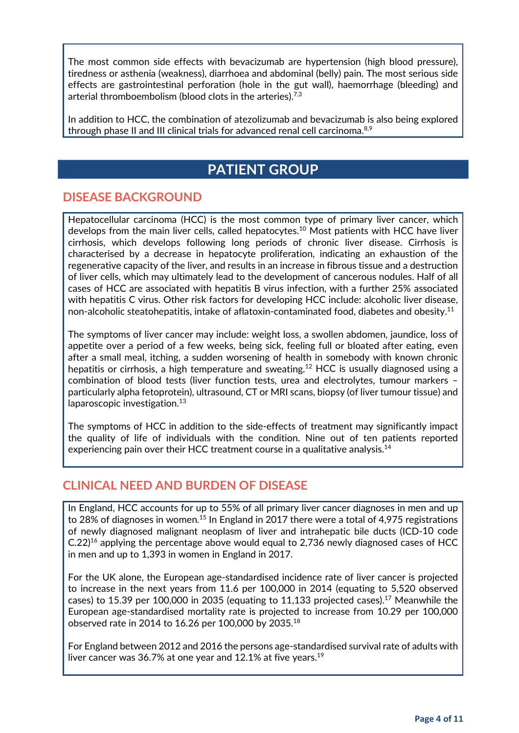The most common side effects with bevacizumab are hypertension (high blood pressure), tiredness or asthenia (weakness), diarrhoea and abdominal (belly) pain. The most serious side effects are gastrointestinal perforation (hole in the gut wall), haemorrhage (bleeding) and arterial thromboembolism (blood clots in the arteries).<sup>7,3</sup>

In addition to HCC, the combination of atezolizumab and bevacizumab is also being explored through phase II and III clinical trials for advanced renal cell carcinoma.<sup>8,9</sup>

## **PATIENT GROUP**

#### **DISEASE BACKGROUND**

Hepatocellular carcinoma (HCC) is the most common type of primary liver cancer, which develops from the main liver cells, called hepatocytes.<sup>10</sup> Most patients with HCC have liver cirrhosis, which develops following long periods of chronic liver disease. Cirrhosis is characterised by a decrease in hepatocyte proliferation, indicating an exhaustion of the regenerative capacity of the liver, and results in an increase in fibrous tissue and a destruction of liver cells, which may ultimately lead to the development of cancerous nodules. Half of all cases of HCC are associated with hepatitis B virus infection, with a further 25% associated with hepatitis C virus. Other risk factors for developing HCC include: alcoholic liver disease, non-alcoholic steatohepatitis, intake of aflatoxin-contaminated food, diabetes and obesity.<sup>11</sup>

The symptoms of liver cancer may include: weight loss, a swollen abdomen, jaundice, loss of appetite over a period of a few weeks, being sick, feeling full or bloated after eating, even after a small meal, itching, a sudden worsening of health in somebody with known chronic hepatitis or cirrhosis, a high temperature and sweating.<sup>12</sup> HCC is usually diagnosed using a combination of blood tests (liver function tests, urea and electrolytes, tumour markers – particularly alpha fetoprotein), ultrasound, CT or MRI scans, biopsy (of liver tumour tissue) and laparoscopic investigation. $13$ 

The symptoms of HCC in addition to the side-effects of treatment may significantly impact the quality of life of individuals with the condition. Nine out of ten patients reported experiencing pain over their HCC treatment course in a qualitative analysis.<sup>14</sup>

#### **CLINICAL NEED AND BURDEN OF DISEASE**

In England, HCC accounts for up to 55% of all primary liver cancer diagnoses in men and up to 28% of diagnoses in women.<sup>15</sup> In England in 2017 there were a total of 4,975 registrations of newly diagnosed malignant neoplasm of liver and intrahepatic bile ducts (ICD-10 code C.22)16 applying the percentage above would equal to 2,736 newly diagnosed cases of HCC in men and up to 1,393 in women in England in 2017.

For the UK alone, the European age-standardised incidence rate of liver cancer is projected to increase in the next years from 11.6 per 100,000 in 2014 (equating to 5,520 observed cases) to 15.39 per 100,000 in 2035 (equating to 11,133 projected cases).<sup>17</sup> Meanwhile the European age-standardised mortality rate is projected to increase from 10.29 per 100,000 observed rate in 2014 to 16.26 per 100,000 by 2035.18

For England between 2012 and 2016 the persons age-standardised survival rate of adults with liver cancer was 36.7% at one year and 12.1% at five years.19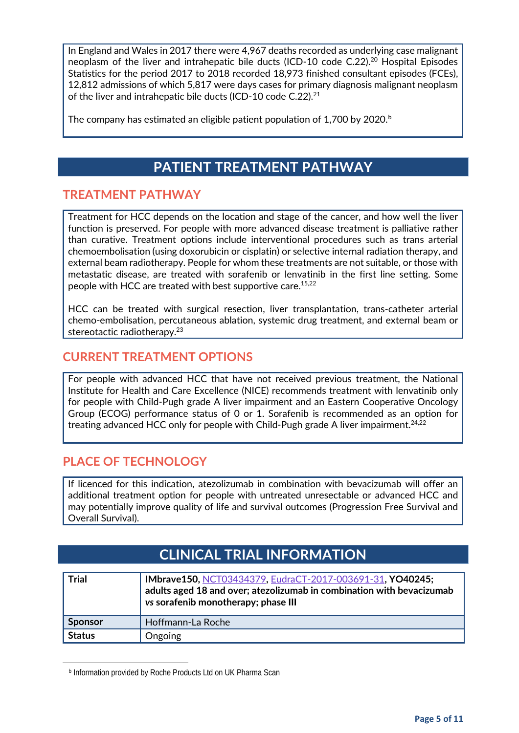In England and Wales in 2017 there were 4,967 deaths recorded as underlying case malignant neoplasm of the liver and intrahepatic bile ducts (ICD-10 code C.22).<sup>20</sup> Hospital Episodes Statistics for the period 2017 to 2018 recorded 18,973 finished consultant episodes (FCEs), 12,812 admissions of which 5,817 were days cases for primary diagnosis malignant neoplasm of the liver and intrahepatic bile ducts (ICD-10 code C.22).<sup>21</sup>

The company has estimated an eligi[b](#page-4-0)le patient population of 1,700 by 2020.<sup>b</sup>

## **PATIENT TREATMENT PATHWAY**

#### **TREATMENT PATHWAY**

Treatment for HCC depends on the location and stage of the cancer, and how well the liver function is preserved. For people with more advanced disease treatment is palliative rather than curative. Treatment options include interventional procedures such as trans arterial chemoembolisation (using doxorubicin or cisplatin) or selective internal radiation therapy, and external beam radiotherapy. People for whom these treatments are not suitable, or those with metastatic disease, are treated with sorafenib or lenvatinib in the first line setting. Some people with HCC are treated with best supportive care.<sup>15,22</sup>

HCC can be treated with surgical resection, liver transplantation, trans-catheter arterial chemo-embolisation, percutaneous ablation, systemic drug treatment, and external beam or stereotactic radiotherapy. 23

#### **CURRENT TREATMENT OPTIONS**

For people with advanced HCC that have not received previous treatment, the National Institute for Health and Care Excellence (NICE) recommends treatment with lenvatinib only for people with Child-Pugh grade A liver impairment and an Eastern Cooperative Oncology Group (ECOG) performance status of 0 or 1. Sorafenib is recommended as an option for treating advanced HCC only for people with Child-Pugh grade A liver impairment. 24,22

#### **PLACE OF TECHNOLOGY**

If licenced for this indication, atezolizumab in combination with bevacizumab will offer an additional treatment option for people with untreated unresectable or advanced HCC and may potentially improve quality of life and survival outcomes (Progression Free Survival and Overall Survival).

## **CLINICAL TRIAL INFORMATION**

| <b>Trial</b>   | IMbrave150, NCT03434379, EudraCT-2017-003691-31, YO40245;<br>adults aged 18 and over; atezolizumab in combination with bevacizumab<br>vs sorafenib monotherapy; phase III |
|----------------|---------------------------------------------------------------------------------------------------------------------------------------------------------------------------|
| <b>Sponsor</b> | Hoffmann-La Roche                                                                                                                                                         |
| <b>Status</b>  | Ongoing                                                                                                                                                                   |

**b Information provided by Roche Products Ltd on UK Pharma Scan** 

<span id="page-4-0"></span> $\overline{a}$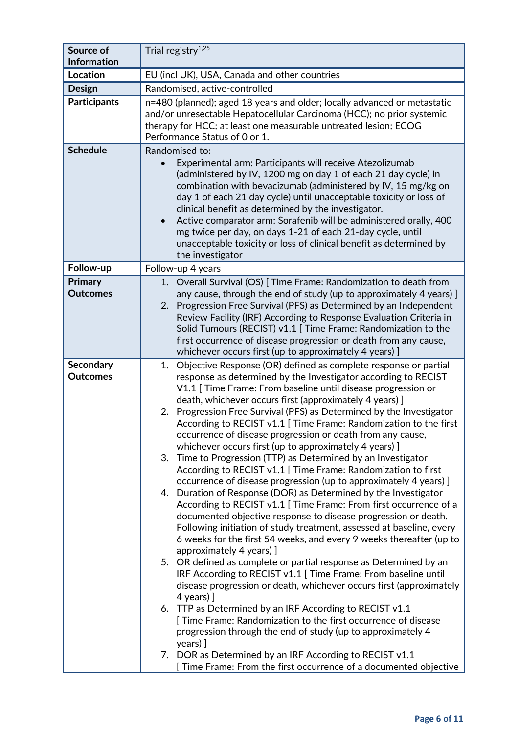| Source of<br><b>Information</b> | Trial registry $1,25$                                                                                                                                                                                                                                                                                                                                                                                                                                                                                                                                                                                                                                                                                                                                                                                                                                                                                                                                                                                                                                                                                                                                                                                                                                                                                                                                                                                                                                                                                                                                                                                                                                                                                         |
|---------------------------------|---------------------------------------------------------------------------------------------------------------------------------------------------------------------------------------------------------------------------------------------------------------------------------------------------------------------------------------------------------------------------------------------------------------------------------------------------------------------------------------------------------------------------------------------------------------------------------------------------------------------------------------------------------------------------------------------------------------------------------------------------------------------------------------------------------------------------------------------------------------------------------------------------------------------------------------------------------------------------------------------------------------------------------------------------------------------------------------------------------------------------------------------------------------------------------------------------------------------------------------------------------------------------------------------------------------------------------------------------------------------------------------------------------------------------------------------------------------------------------------------------------------------------------------------------------------------------------------------------------------------------------------------------------------------------------------------------------------|
| Location                        | EU (incl UK), USA, Canada and other countries                                                                                                                                                                                                                                                                                                                                                                                                                                                                                                                                                                                                                                                                                                                                                                                                                                                                                                                                                                                                                                                                                                                                                                                                                                                                                                                                                                                                                                                                                                                                                                                                                                                                 |
| <b>Design</b>                   | Randomised, active-controlled                                                                                                                                                                                                                                                                                                                                                                                                                                                                                                                                                                                                                                                                                                                                                                                                                                                                                                                                                                                                                                                                                                                                                                                                                                                                                                                                                                                                                                                                                                                                                                                                                                                                                 |
| <b>Participants</b>             | n=480 (planned); aged 18 years and older; locally advanced or metastatic<br>and/or unresectable Hepatocellular Carcinoma (HCC); no prior systemic<br>therapy for HCC; at least one measurable untreated lesion; ECOG<br>Performance Status of 0 or 1.                                                                                                                                                                                                                                                                                                                                                                                                                                                                                                                                                                                                                                                                                                                                                                                                                                                                                                                                                                                                                                                                                                                                                                                                                                                                                                                                                                                                                                                         |
| <b>Schedule</b>                 | Randomised to:<br>Experimental arm: Participants will receive Atezolizumab<br>(administered by IV, 1200 mg on day 1 of each 21 day cycle) in<br>combination with bevacizumab (administered by IV, 15 mg/kg on<br>day 1 of each 21 day cycle) until unacceptable toxicity or loss of<br>clinical benefit as determined by the investigator.<br>Active comparator arm: Sorafenib will be administered orally, 400<br>$\bullet$<br>mg twice per day, on days 1-21 of each 21-day cycle, until<br>unacceptable toxicity or loss of clinical benefit as determined by<br>the investigator                                                                                                                                                                                                                                                                                                                                                                                                                                                                                                                                                                                                                                                                                                                                                                                                                                                                                                                                                                                                                                                                                                                          |
| Follow-up                       | Follow-up 4 years                                                                                                                                                                                                                                                                                                                                                                                                                                                                                                                                                                                                                                                                                                                                                                                                                                                                                                                                                                                                                                                                                                                                                                                                                                                                                                                                                                                                                                                                                                                                                                                                                                                                                             |
| Primary<br><b>Outcomes</b>      | 1. Overall Survival (OS) [ Time Frame: Randomization to death from<br>any cause, through the end of study (up to approximately 4 years) ]<br>2. Progression Free Survival (PFS) as Determined by an Independent<br>Review Facility (IRF) According to Response Evaluation Criteria in<br>Solid Tumours (RECIST) v1.1 [ Time Frame: Randomization to the<br>first occurrence of disease progression or death from any cause,<br>whichever occurs first (up to approximately 4 years) ]                                                                                                                                                                                                                                                                                                                                                                                                                                                                                                                                                                                                                                                                                                                                                                                                                                                                                                                                                                                                                                                                                                                                                                                                                         |
| Secondary<br><b>Outcomes</b>    | Objective Response (OR) defined as complete response or partial<br>1.<br>response as determined by the Investigator according to RECIST<br>V1.1 [ Time Frame: From baseline until disease progression or<br>death, whichever occurs first (approximately 4 years) ]<br>Progression Free Survival (PFS) as Determined by the Investigator<br>2.<br>According to RECIST v1.1 [ Time Frame: Randomization to the first<br>occurrence of disease progression or death from any cause,<br>whichever occurs first (up to approximately 4 years) ]<br>3. Time to Progression (TTP) as Determined by an Investigator<br>According to RECIST v1.1 [ Time Frame: Randomization to first<br>occurrence of disease progression (up to approximately 4 years) ]<br>4. Duration of Response (DOR) as Determined by the Investigator<br>According to RECIST v1.1 [ Time Frame: From first occurrence of a<br>documented objective response to disease progression or death.<br>Following initiation of study treatment, assessed at baseline, every<br>6 weeks for the first 54 weeks, and every 9 weeks thereafter (up to<br>approximately 4 years) ]<br>5. OR defined as complete or partial response as Determined by an<br>IRF According to RECIST v1.1 [ Time Frame: From baseline until<br>disease progression or death, whichever occurs first (approximately<br>$4$ years) ]<br>6. TTP as Determined by an IRF According to RECIST v1.1<br>[ Time Frame: Randomization to the first occurrence of disease<br>progression through the end of study (up to approximately 4<br>years) ]<br>7. DOR as Determined by an IRF According to RECIST v1.1<br>[ Time Frame: From the first occurrence of a documented objective |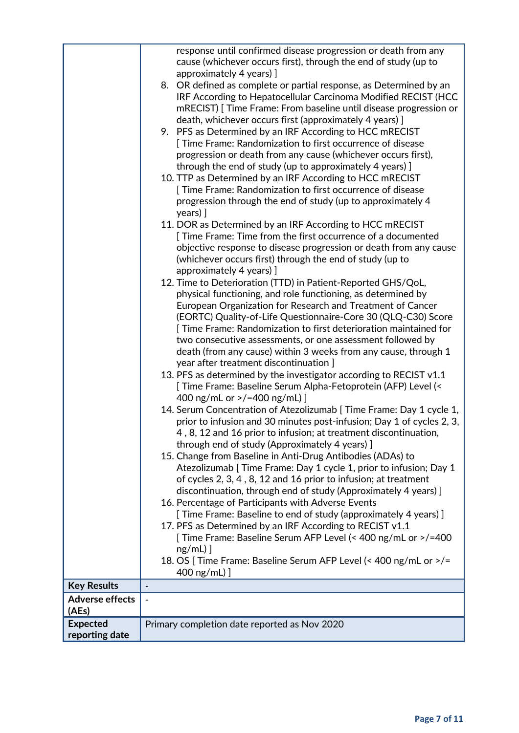|                                 | response until confirmed disease progression or death from any<br>cause (whichever occurs first), through the end of study (up to<br>approximately 4 years) ]                                                                                                                         |
|---------------------------------|---------------------------------------------------------------------------------------------------------------------------------------------------------------------------------------------------------------------------------------------------------------------------------------|
|                                 | 8. OR defined as complete or partial response, as Determined by an<br>IRF According to Hepatocellular Carcinoma Modified RECIST (HCC<br>mRECIST) [Time Frame: From baseline until disease progression or<br>death, whichever occurs first (approximately 4 years) ]                   |
|                                 | 9. PFS as Determined by an IRF According to HCC mRECIST<br>[ Time Frame: Randomization to first occurrence of disease<br>progression or death from any cause (whichever occurs first),                                                                                                |
|                                 | through the end of study (up to approximately 4 years) ]<br>10. TTP as Determined by an IRF According to HCC mRECIST<br>Time Frame: Randomization to first occurrence of disease                                                                                                      |
|                                 | progression through the end of study (up to approximately 4<br>years) ]                                                                                                                                                                                                               |
|                                 | 11. DOR as Determined by an IRF According to HCC mRECIST<br>[ Time Frame: Time from the first occurrence of a documented<br>objective response to disease progression or death from any cause<br>(whichever occurs first) through the end of study (up to<br>approximately 4 years) ] |
|                                 | 12. Time to Deterioration (TTD) in Patient-Reported GHS/QoL,                                                                                                                                                                                                                          |
|                                 | physical functioning, and role functioning, as determined by                                                                                                                                                                                                                          |
|                                 | European Organization for Research and Treatment of Cancer<br>(EORTC) Quality-of-Life Questionnaire-Core 30 (QLQ-C30) Score<br>[ Time Frame: Randomization to first deterioration maintained for                                                                                      |
|                                 | two consecutive assessments, or one assessment followed by                                                                                                                                                                                                                            |
|                                 | death (from any cause) within 3 weeks from any cause, through 1<br>year after treatment discontinuation ]                                                                                                                                                                             |
|                                 | 13. PFS as determined by the investigator according to RECIST $v1.1$<br>[ Time Frame: Baseline Serum Alpha-Fetoprotein (AFP) Level (<<br>400 ng/mL or >/=400 ng/mL) ]                                                                                                                 |
|                                 | 14. Serum Concentration of Atezolizumab [ Time Frame: Day 1 cycle 1,<br>prior to infusion and 30 minutes post-infusion; Day 1 of cycles 2, 3,<br>4, 8, 12 and 16 prior to infusion; at treatment discontinuation,<br>through end of study (Approximately 4 years) ]                   |
|                                 | 15. Change from Baseline in Anti-Drug Antibodies (ADAs) to<br>Atezolizumab [ Time Frame: Day 1 cycle 1, prior to infusion; Day 1<br>of cycles 2, 3, 4, 8, 12 and 16 prior to infusion; at treatment                                                                                   |
|                                 | discontinuation, through end of study (Approximately 4 years) ]<br>16. Percentage of Participants with Adverse Events                                                                                                                                                                 |
|                                 | [ Time Frame: Baseline to end of study (approximately 4 years) ]                                                                                                                                                                                                                      |
|                                 | 17. PFS as Determined by an IRF According to RECIST v1.1                                                                                                                                                                                                                              |
|                                 | [Time Frame: Baseline Serum AFP Level (< 400 ng/mL or >/=400<br>$ng/mL)$ ]                                                                                                                                                                                                            |
|                                 | 18. OS [ Time Frame: Baseline Serum AFP Level (< 400 ng/mL or >/=                                                                                                                                                                                                                     |
|                                 | 400 ng/mL) ]                                                                                                                                                                                                                                                                          |
| <b>Key Results</b>              | $\overline{\phantom{a}}$                                                                                                                                                                                                                                                              |
| <b>Adverse effects</b><br>(AEs) |                                                                                                                                                                                                                                                                                       |
| <b>Expected</b>                 | Primary completion date reported as Nov 2020                                                                                                                                                                                                                                          |
| reporting date                  |                                                                                                                                                                                                                                                                                       |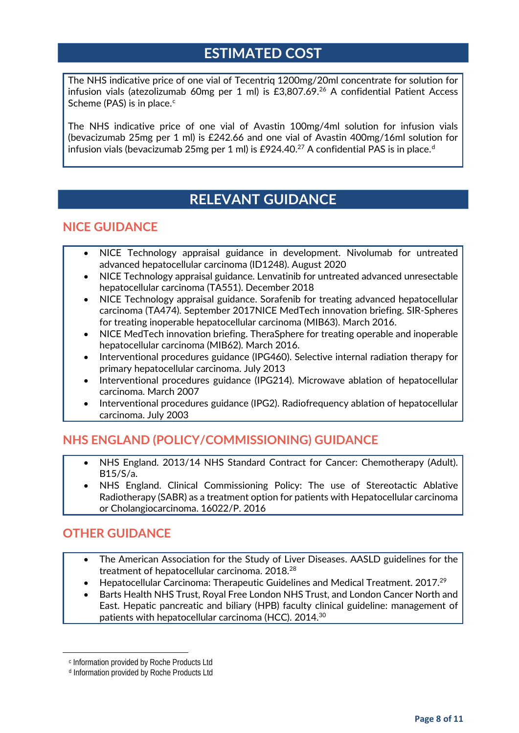## **ESTIMATED COST**

The NHS indicative price of one vial of Tecentriq 1200mg/20ml concentrate for solution for infusion vials (atezolizumab 60mg per 1 ml) is £3,807.69. <sup>26</sup> A confidential Patient Access S[c](#page-7-0)heme (PAS) is in place. $c$ 

The NHS indicative price of one vial of Avastin 100mg/4ml solution for infusion vials (bevacizumab 25mg per 1 ml) is £242.66 and one vial of Avastin 400mg/16ml solution for infusion vials (bevacizumab 25mg per 1 ml) is £924.40.<sup>27</sup> A confi[d](#page-7-1)ential PAS is in place.<sup>d</sup>

## **RELEVANT GUIDANCE**

#### **NICE GUIDANCE**

- NICE Technology appraisal guidance in development. Nivolumab for untreated advanced hepatocellular carcinoma (ID1248). August 2020
- NICE Technology appraisal guidance. Lenvatinib for untreated advanced unresectable hepatocellular carcinoma (TA551). December 2018
- NICE Technology appraisal guidance. Sorafenib for treating advanced hepatocellular carcinoma (TA474). September 2017NICE MedTech innovation briefing. SIR-Spheres for treating inoperable hepatocellular carcinoma (MIB63). March 2016.
- NICE MedTech innovation briefing. TheraSphere for treating operable and inoperable hepatocellular carcinoma (MIB62). March 2016.
- Interventional procedures guidance (IPG460). Selective internal radiation therapy for primary hepatocellular carcinoma. July 2013
- Interventional procedures guidance (IPG214). Microwave ablation of hepatocellular carcinoma. March 2007
- Interventional procedures guidance (IPG2). Radiofrequency ablation of hepatocellular carcinoma. July 2003

#### **NHS ENGLAND (POLICY/COMMISSIONING) GUIDANCE**

- NHS England. 2013/14 NHS Standard Contract for Cancer: Chemotherapy (Adult). B15/S/a.
- NHS England. Clinical Commissioning Policy: The use of Stereotactic Ablative Radiotherapy (SABR) as a treatment option for patients with Hepatocellular carcinoma or Cholangiocarcinoma. 16022/P. 2016

#### **OTHER GUIDANCE**

- The American Association for the Study of Liver Diseases. AASLD guidelines for the treatment of hepatocellular carcinoma. 2018.<sup>28</sup>
- Hepatocellular Carcinoma: Therapeutic Guidelines and Medical Treatment. 2017.29
- Barts Health NHS Trust, Royal Free London NHS Trust, and London Cancer North and East. Hepatic pancreatic and biliary (HPB) faculty clinical guideline: management of patients with hepatocellular carcinoma (HCC). 2014.30

<span id="page-7-1"></span><span id="page-7-0"></span> $\overline{a}$ 

<sup>c</sup> Information provided by Roche Products Ltd

<sup>d</sup> Information provided by Roche Products Ltd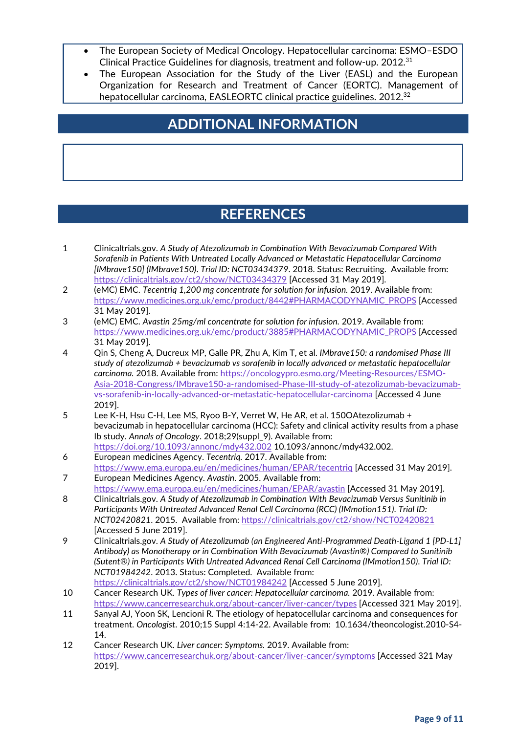- The European Society of Medical Oncology. Hepatocellular carcinoma: ESMO–ESDO Clinical Practice Guidelines for diagnosis, treatment and follow-up. 2012.<sup>31</sup>
- The European Association for the Study of the Liver (EASL) and the European Organization for Research and Treatment of Cancer (EORTC). Management of hepatocellular carcinoma, EASLEORTC clinical practice guidelines. 2012.<sup>32</sup>

## **ADDITIONAL INFORMATION**

## **REFERENCES**

- 1 Clinicaltrials.gov. *A Study of Atezolizumab in Combination With Bevacizumab Compared With Sorafenib in Patients With Untreated Locally Advanced or Metastatic Hepatocellular Carcinoma [IMbrave150] (IMbrave150)*. *Trial ID: NCT03434379*. 2018. Status: Recruiting. Available from: <https://clinicaltrials.gov/ct2/show/NCT03434379> [Accessed 31 May 2019].
- 2 (eMC) EMC. *Tecentriq 1,200 mg concentrate for solution for infusion.* 2019. Available from: [https://www.medicines.org.uk/emc/product/8442#PHARMACODYNAMIC\\_PROPS](https://www.medicines.org.uk/emc/product/8442#PHARMACODYNAMIC_PROPS) [Accessed 31 May 2019].
- 3 (eMC) EMC. *Avastin 25mg/ml concentrate for solution for infusion.* 2019. Available from: [https://www.medicines.org.uk/emc/product/3885#PHARMACODYNAMIC\\_PROPS](https://www.medicines.org.uk/emc/product/3885#PHARMACODYNAMIC_PROPS) [Accessed 31 May 2019].
- 4 Qin S, Cheng A, Ducreux MP, Galle PR, Zhu A, Kim T, et al. *IMbrave150: a randomised Phase III study of atezolizumab + bevacizumab vs sorafenib in locally advanced or metastatic hepatocellular carcinoma.* 2018. Available from: [https://oncologypro.esmo.org/Meeting-Resources/ESMO-](https://oncologypro.esmo.org/Meeting-Resources/ESMO-Asia-2018-Congress/IMbrave150-a-randomised-Phase-III-study-of-atezolizumab-bevacizumab-vs-sorafenib-in-locally-advanced-or-metastatic-hepatocellular-carcinoma)[Asia-2018-Congress/IMbrave150-a-randomised-Phase-III-study-of-atezolizumab-bevacizumab](https://oncologypro.esmo.org/Meeting-Resources/ESMO-Asia-2018-Congress/IMbrave150-a-randomised-Phase-III-study-of-atezolizumab-bevacizumab-vs-sorafenib-in-locally-advanced-or-metastatic-hepatocellular-carcinoma)[vs-sorafenib-in-locally-advanced-or-metastatic-hepatocellular-carcinoma](https://oncologypro.esmo.org/Meeting-Resources/ESMO-Asia-2018-Congress/IMbrave150-a-randomised-Phase-III-study-of-atezolizumab-bevacizumab-vs-sorafenib-in-locally-advanced-or-metastatic-hepatocellular-carcinoma) [Accessed 4 June 2019].
- 5 Lee K-H, Hsu C-H, Lee MS, Ryoo B-Y, Verret W, He AR, et al. 150OAtezolizumab + bevacizumab in hepatocellular carcinoma (HCC): Safety and clinical activity results from a phase Ib study. *Annals of Oncology*. 2018;29(suppl\_9). Available from: <https://doi.org/10.1093/annonc/mdy432.002> 10.1093/annonc/mdy432.002.
- 6 European medicines Agency. *Tecentriq.* 2017. Available from: <https://www.ema.europa.eu/en/medicines/human/EPAR/tecentriq> [Accessed 31 May 2019].
- 7 European Medicines Agency. *Avastin.* 2005. Available from: <https://www.ema.europa.eu/en/medicines/human/EPAR/avastin> [Accessed 31 May 2019].
- 8 Clinicaltrials.gov. *A Study of Atezolizumab in Combination With Bevacizumab Versus Sunitinib in Participants With Untreated Advanced Renal Cell Carcinoma (RCC) (IMmotion151)*. *Trial ID: NCT02420821*. 2015. Available from:<https://clinicaltrials.gov/ct2/show/NCT02420821> [Accessed 5 June 2019].
- 9 Clinicaltrials.gov. *A Study of Atezolizumab (an Engineered Anti-Programmed Death-Ligand 1 [PD-L1] Antibody) as Monotherapy or in Combination With Bevacizumab (Avastin®) Compared to Sunitinib (Sutent®) in Participants With Untreated Advanced Renal Cell Carcinoma (IMmotion150)*. *Trial ID: NCT01984242*. 2013. Status: Completed. Available from:
	- <https://clinicaltrials.gov/ct2/show/NCT01984242> [Accessed 5 June 2019].
- 10 Cancer Research UK. *Types of liver cancer: Hepatocellular carcinoma.* 2019. Available from: <https://www.cancerresearchuk.org/about-cancer/liver-cancer/types> [Accessed 321 May 2019].
- 11 Sanyal AJ, Yoon SK, Lencioni R. The etiology of hepatocellular carcinoma and consequences for treatment. *Oncologist*. 2010;15 Suppl 4:14-22. Available from: 10.1634/theoncologist.2010-S4- 14.
- 12 Cancer Research UK. *Liver cancer: Symptoms.* 2019. Available from: <https://www.cancerresearchuk.org/about-cancer/liver-cancer/symptoms> [Accessed 321 May 2019].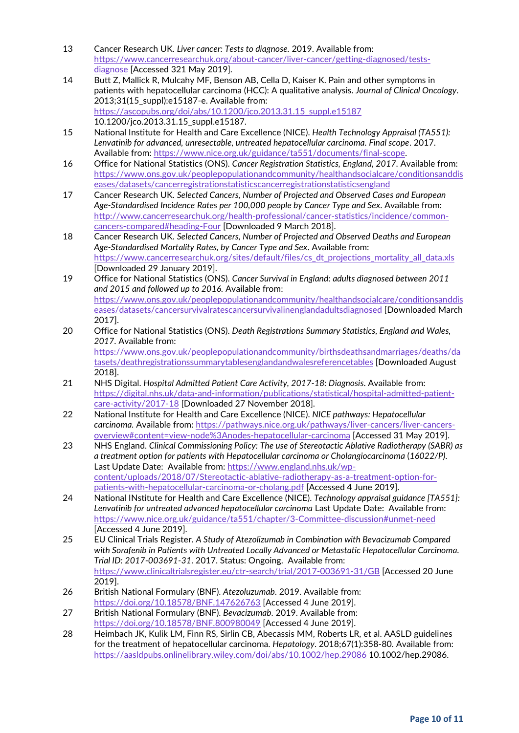- 13 Cancer Research UK. *Liver cancer: Tests to diagnose.* 2019. Available from: [https://www.cancerresearchuk.org/about-cancer/liver-cancer/getting-diagnosed/tests](https://www.cancerresearchuk.org/about-cancer/liver-cancer/getting-diagnosed/tests-diagnose)[diagnose](https://www.cancerresearchuk.org/about-cancer/liver-cancer/getting-diagnosed/tests-diagnose) [Accessed 321 May 2019].
- 14 Butt Z, Mallick R, Mulcahy MF, Benson AB, Cella D, Kaiser K. Pain and other symptoms in patients with hepatocellular carcinoma (HCC): A qualitative analysis. *Journal of Clinical Oncology*. 2013;31(15\_suppl):e15187-e. Available from: [https://ascopubs.org/doi/abs/10.1200/jco.2013.31.15\\_suppl.e15187](https://ascopubs.org/doi/abs/10.1200/jco.2013.31.15_suppl.e15187) 10.1200/jco.2013.31.15\_suppl.e15187.
- 15 National Institute for Health and Care Excellence (NICE). *Health Technology Appraisal (TA551): Lenvatinib for advanced, unresectable, untreated hepatocellular carcinoma. Final scope*. 2017. Available from: [https://www.nice.org.uk/guidance/ta551/documents/final-scope.](https://www.nice.org.uk/guidance/ta551/documents/final-scope)
- 16 Office for National Statistics (ONS). *Cancer Registration Statistics, England, 2017*. Available from: [https://www.ons.gov.uk/peoplepopulationandcommunity/healthandsocialcare/conditionsanddis](https://www.ons.gov.uk/peoplepopulationandcommunity/healthandsocialcare/conditionsanddiseases/datasets/cancerregistrationstatisticscancerregistrationstatisticsengland) [eases/datasets/cancerregistrationstatisticscancerregistrationstatisticsengland](https://www.ons.gov.uk/peoplepopulationandcommunity/healthandsocialcare/conditionsanddiseases/datasets/cancerregistrationstatisticscancerregistrationstatisticsengland)
- 17 Cancer Research UK. *Selected Cancers, Number of Projected and Observed Cases and European Age-Standardised Incidence Rates per 100,000 people by Cancer Type and Sex*. Available from: [http://www.cancerresearchuk.org/health-professional/cancer-statistics/incidence/common](http://www.cancerresearchuk.org/health-professional/cancer-statistics/incidence/common-cancers-compared#heading-Four)[cancers-compared#heading-Four](http://www.cancerresearchuk.org/health-professional/cancer-statistics/incidence/common-cancers-compared#heading-Four) [Downloaded 9 March 2018].
- 18 Cancer Research UK. *Selected Cancers, Number of Projected and Observed Deaths and European Age-Standardised Mortality Rates, by Cancer Type and Sex*. Available from: [https://www.cancerresearchuk.org/sites/default/files/cs\\_dt\\_projections\\_mortality\\_all\\_data.xls](https://www.cancerresearchuk.org/sites/default/files/cs_dt_projections_mortality_all_data.xls) [Downloaded 29 January 2019].
- 19 Office for National Statistics (ONS). *Cancer Survival in England: adults diagnosed between 2011 and 2015 and followed up to 2016.* Available from: [https://www.ons.gov.uk/peoplepopulationandcommunity/healthandsocialcare/conditionsanddis](https://www.ons.gov.uk/peoplepopulationandcommunity/healthandsocialcare/conditionsanddiseases/datasets/cancersurvivalratescancersurvivalinenglandadultsdiagnosed) [eases/datasets/cancersurvivalratescancersurvivalinenglandadultsdiagnosed](https://www.ons.gov.uk/peoplepopulationandcommunity/healthandsocialcare/conditionsanddiseases/datasets/cancersurvivalratescancersurvivalinenglandadultsdiagnosed) [Downloaded March 2017].
- 20 Office for National Statistics (ONS). *Death Registrations Summary Statistics, England and Wales, 2017*. Available from: [https://www.ons.gov.uk/peoplepopulationandcommunity/birthsdeathsandmarriages/deaths/da](https://www.ons.gov.uk/peoplepopulationandcommunity/birthsdeathsandmarriages/deaths/datasets/deathregistrationssummarytablesenglandandwalesreferencetables)

[tasets/deathregistrationssummarytablesenglandandwalesreferencetables](https://www.ons.gov.uk/peoplepopulationandcommunity/birthsdeathsandmarriages/deaths/datasets/deathregistrationssummarytablesenglandandwalesreferencetables) [Downloaded August 2018].

- 21 NHS Digital. *Hospital Admitted Patient Care Activity, 2017-18: Diagnosis*. Available from: [https://digital.nhs.uk/data-and-information/publications/statistical/hospital-admitted-patient](https://digital.nhs.uk/data-and-information/publications/statistical/hospital-admitted-patient-care-activity/2017-18)[care-activity/2017-18](https://digital.nhs.uk/data-and-information/publications/statistical/hospital-admitted-patient-care-activity/2017-18) [Downloaded 27 November 2018].
- 22 National Institute for Health and Care Excellence (NICE). *NICE pathways: Hepatocellular carcinoma.* Available from: [https://pathways.nice.org.uk/pathways/liver-cancers/liver-cancers](https://pathways.nice.org.uk/pathways/liver-cancers/liver-cancers-overview#content=view-node%3Anodes-hepatocellular-carcinoma)overview#content=view-node%3Anodes[-hepatocellular-carcinoma](https://pathways.nice.org.uk/pathways/liver-cancers/liver-cancers-overview#content=view-node%3Anodes-hepatocellular-carcinoma) [Accessed 31 May 2019].
- 23 NHS England. *Clinical Commissioning Policy: The use of Stereotactic Ablative Radiotherapy (SABR) as a treatment option for patients with Hepatocellular carcinoma or Cholangiocarcinoma* (*16022/P)*. Last Update Date: Available from: [https://www.england.nhs.uk/wp](https://www.england.nhs.uk/wp-content/uploads/2018/07/Stereotactic-ablative-radiotherapy-as-a-treatment-option-for-patients-with-hepatocellular-carcinoma-or-cholang.pdf)[content/uploads/2018/07/Stereotactic-ablative-radiotherapy-as-a-treatment-option-for](https://www.england.nhs.uk/wp-content/uploads/2018/07/Stereotactic-ablative-radiotherapy-as-a-treatment-option-for-patients-with-hepatocellular-carcinoma-or-cholang.pdf)[patients-with-hepatocellular-carcinoma-or-cholang.pdf](https://www.england.nhs.uk/wp-content/uploads/2018/07/Stereotactic-ablative-radiotherapy-as-a-treatment-option-for-patients-with-hepatocellular-carcinoma-or-cholang.pdf) [Accessed 4 June 2019].
- 24 National INstitute for Health and Care Excellence (NICE). *Technology appraisal guidance [TA551]: Lenvatinib for untreated advanced hepatocellular carcinoma* Last Update Date: Available from: <https://www.nice.org.uk/guidance/ta551/chapter/3-Committee-discussion#unmet-need> [Accessed 4 June 2019].
- 25 EU Clinical Trials Register. *A Study of Atezolizumab in Combination with Bevacizumab Compared with Sorafenib in Patients with Untreated Locally Advanced or Metastatic Hepatocellular Carcinoma*. *Trial ID: 2017-003691-31*. 2017. Status: Ongoing. Available from: <https://www.clinicaltrialsregister.eu/ctr-search/trial/2017-003691-31/GB> [Accessed 20 June 2019].
- 26 British National Formulary (BNF). *Atezoluzumab.* 2019. Available from: <https://doi.org/10.18578/BNF.147626763> [Accessed 4 June 2019].
- 27 British National Formulary (BNF). *Bevacizumab.* 2019. Available from: <https://doi.org/10.18578/BNF.800980049> [Accessed 4 June 2019].
- 28 Heimbach JK, Kulik LM, Finn RS, Sirlin CB, Abecassis MM, Roberts LR, et al. AASLD guidelines for the treatment of hepatocellular carcinoma. *Hepatology*. 2018;67(1):358-80. Available from: <https://aasldpubs.onlinelibrary.wiley.com/doi/abs/10.1002/hep.29086> 10.1002/hep.29086.